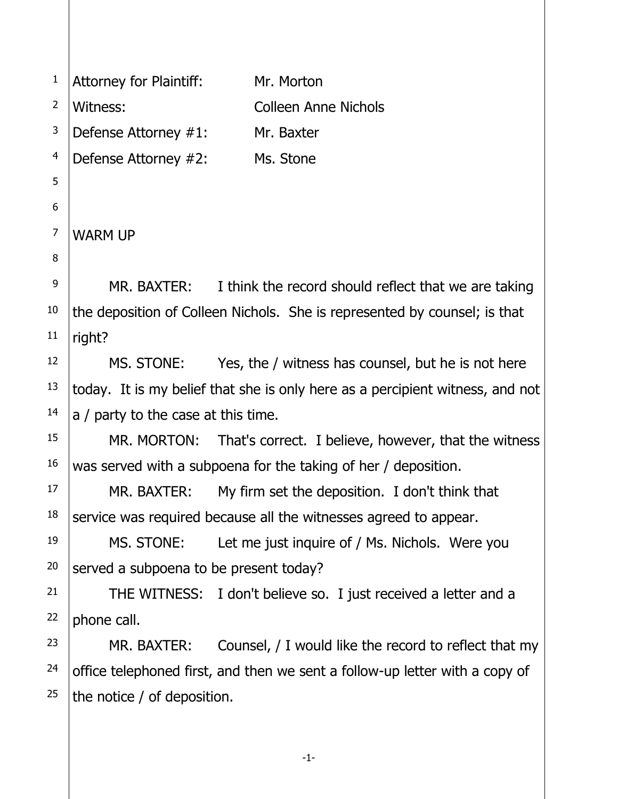1 2 3 4 5 6 7 8 9 10 11 12 13 14 15 16 17 18 19 20 21 22 23 24 25 Attorney for Plaintiff: Mr. Morton Witness: Colleen Anne Nichols Defense Attorney #1: Mr. Baxter Defense Attorney #2: Ms. Stone WARM UP MR. BAXTER: I think the record should reflect that we are taking the deposition of Colleen Nichols. She is represented by counsel; is that right? MS. STONE: Yes, the / witness has counsel, but he is not here today. It is my belief that she is only here as a percipient witness, and not a / party to the case at this time. MR. MORTON: That's correct. I believe, however, that the witness was served with a subpoena for the taking of her / deposition. MR. BAXTER: My firm set the deposition. I don't think that service was required because all the witnesses agreed to appear. MS. STONE: Let me just inquire of / Ms. Nichols. Were you served a subpoena to be present today? THE WITNESS: I don't believe so. I just received a letter and a phone call. MR. BAXTER: Counsel, / I would like the record to reflect that my office telephoned first, and then we sent a follow-up letter with a copy of the notice / of deposition.

-1-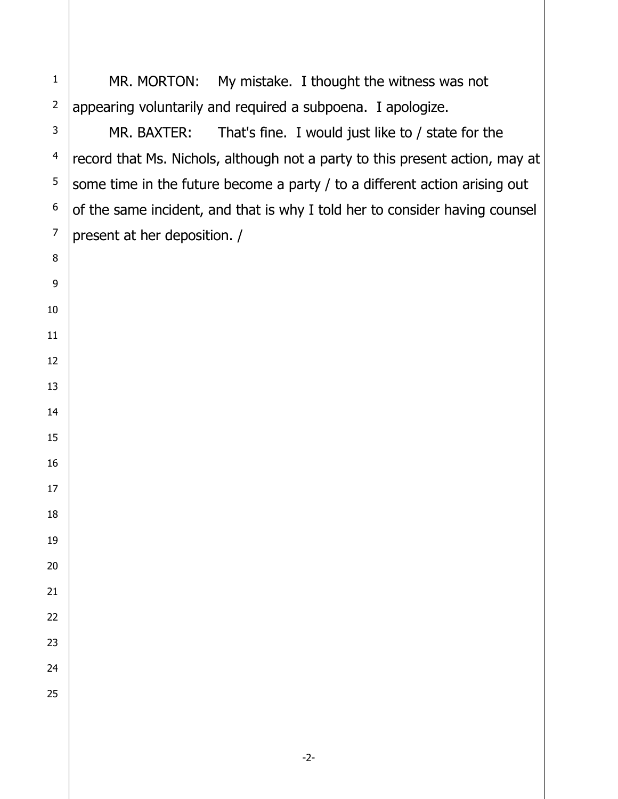MR. MORTON: My mistake. I thought the witness was not appearing voluntarily and required a subpoena. I apologize.

MR. BAXTER: That's fine. I would just like to / state for the record that Ms. Nichols, although not a party to this present action, may at some time in the future become a party / to a different action arising out of the same incident, and that is why I told her to consider having counsel present at her deposition. /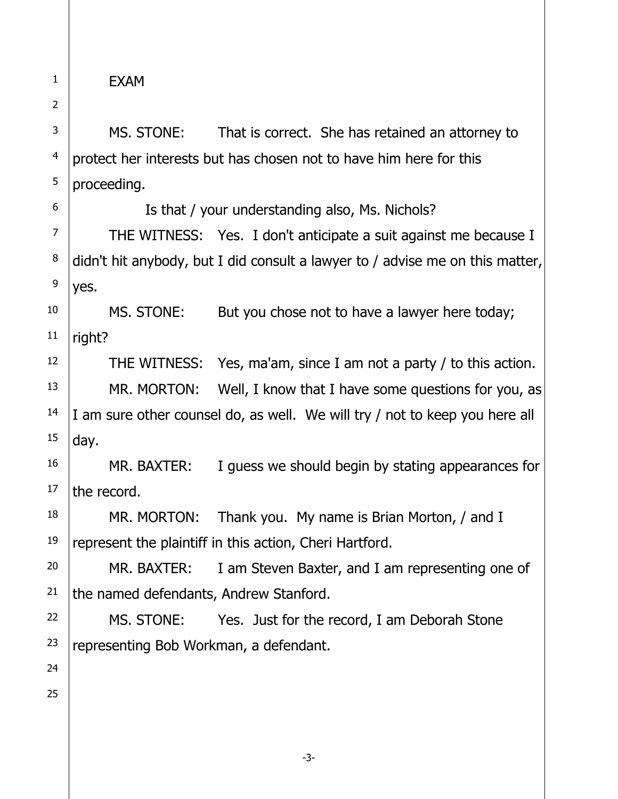EXAM

1

2

3

4

5

6

7

8

9

MS. STONE: That is correct. She has retained an attorney to protect her interests but has chosen not to have him here for this proceeding.

Is that / your understanding also, Ms. Nichols?

THE WITNESS: Yes. I don't anticipate a suit against me because I didn't hit anybody, but I did consult a lawyer to / advise me on this matter, yes.

10 11 MS. STONE: But you chose not to have a lawyer here today; right?

THE WITNESS: Yes, ma'am, since I am not a party / to this action.

MR. MORTON: Well, I know that I have some questions for you, as I am sure other counsel do, as well. We will try / not to keep you here all day.

16 17 MR. BAXTER: I guess we should begin by stating appearances for the record.

18 MR. MORTON: Thank you. My name is Brian Morton, / and I represent the plaintiff in this action, Cheri Hartford.

20 21 MR. BAXTER: I am Steven Baxter, and I am representing one of the named defendants, Andrew Stanford.

-3-

22 MS. STONE: Yes. Just for the record, I am Deborah Stone representing Bob Workman, a defendant.

15

19

23

24

25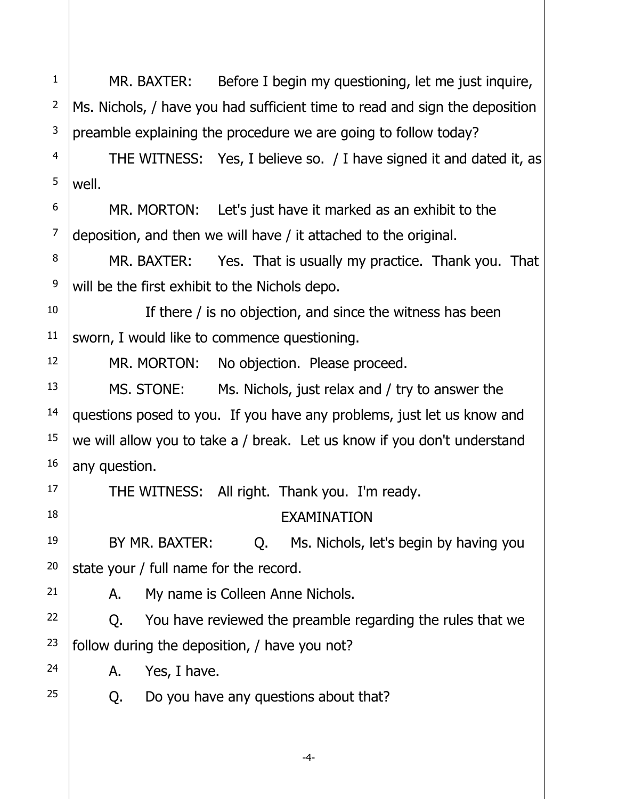1 2 3 4 5 6 7 8 9 10 11 12 13 14 15 16 17 18 19 20 21 22 23 24 25 MR. BAXTER: Before I begin my questioning, let me just inquire, Ms. Nichols, / have you had sufficient time to read and sign the deposition preamble explaining the procedure we are going to follow today? THE WITNESS: Yes, I believe so. / I have signed it and dated it, as well. MR. MORTON: Let's just have it marked as an exhibit to the deposition, and then we will have / it attached to the original. MR. BAXTER: Yes. That is usually my practice. Thank you. That will be the first exhibit to the Nichols depo. If there / is no objection, and since the witness has been sworn, I would like to commence questioning. MR. MORTON: No objection. Please proceed. MS. STONE: Ms. Nichols, just relax and / try to answer the questions posed to you. If you have any problems, just let us know and we will allow you to take a / break. Let us know if you don't understand any question. THE WITNESS: All right. Thank you. I'm ready. EXAMINATION BY MR. BAXTER: Q. Ms. Nichols, let's begin by having you state your / full name for the record. A. My name is Colleen Anne Nichols. Q. You have reviewed the preamble regarding the rules that we follow during the deposition, / have you not? A. Yes, I have. Q. Do you have any questions about that?

-4-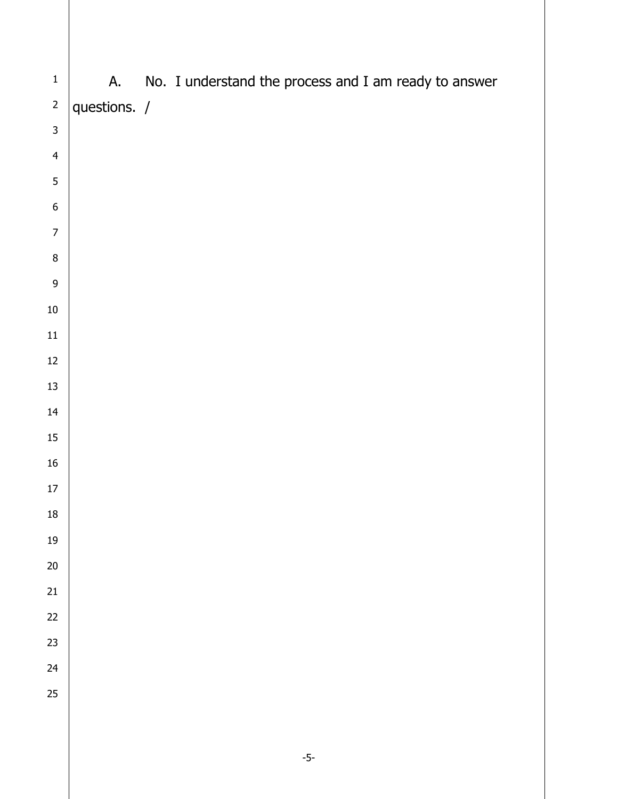| $\mathbf 1$      | А.           | No. I understand the process and I am ready to answer |
|------------------|--------------|-------------------------------------------------------|
| $\overline{c}$   | questions. / |                                                       |
| 3                |              |                                                       |
| $\overline{4}$   |              |                                                       |
| 5                |              |                                                       |
| $\boldsymbol{6}$ |              |                                                       |
| $\boldsymbol{7}$ |              |                                                       |
| $\bf 8$          |              |                                                       |
| 9                |              |                                                       |
| $10\,$           |              |                                                       |
| $11\,$           |              |                                                       |
| $12\,$           |              |                                                       |
| 13               |              |                                                       |
| 14               |              |                                                       |
| $15\,$           |              |                                                       |
| $16\,$           |              |                                                       |
| $17\,$           |              |                                                       |
| ${\bf 18}$       |              |                                                       |
| $19\,$           |              |                                                       |
| $20\,$           |              |                                                       |
| 21               |              |                                                       |
| 22               |              |                                                       |
| 23               |              |                                                       |
| 24               |              |                                                       |
| 25               |              |                                                       |
|                  |              |                                                       |
|                  |              |                                                       |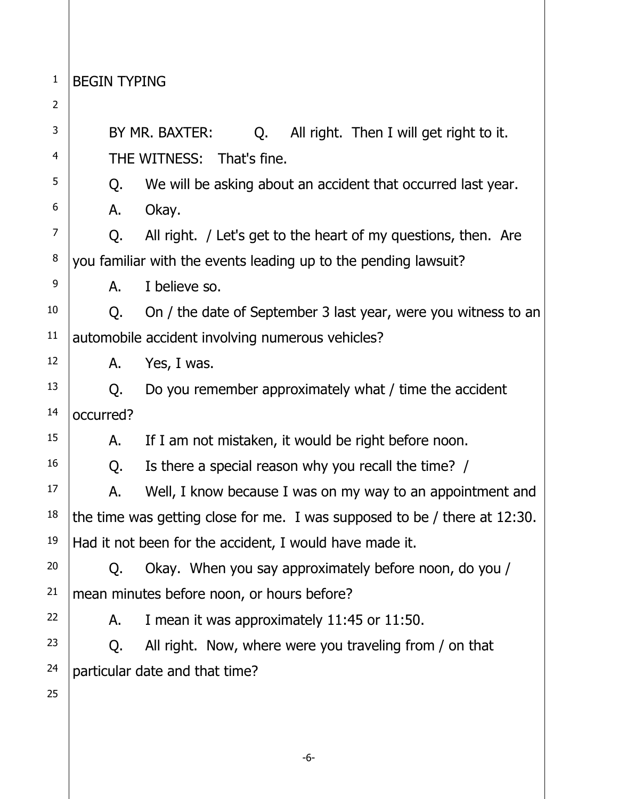1 BEGIN TYPING

2 3 4 5 6 7 8 9 10 11 12 13 14 15 16 17 18 19 20 21 22 23 24 25 BY MR. BAXTER: C. All right. Then I will get right to it. THE WITNESS: That's fine. Q. We will be asking about an accident that occurred last year. A. Okay. Q. All right. / Let's get to the heart of my questions, then. Are you familiar with the events leading up to the pending lawsuit? A. I believe so. Q. On / the date of September 3 last year, were you witness to an automobile accident involving numerous vehicles? A. Yes, I was. Q. Do you remember approximately what / time the accident occurred? A. If I am not mistaken, it would be right before noon. Q. Is there a special reason why you recall the time? / A. Well, I know because I was on my way to an appointment and the time was getting close for me. I was supposed to be / there at 12:30. Had it not been for the accident, I would have made it. Q. Okay. When you say approximately before noon, do you / mean minutes before noon, or hours before? A. I mean it was approximately 11:45 or 11:50. Q. All right. Now, where were you traveling from / on that particular date and that time?

-6-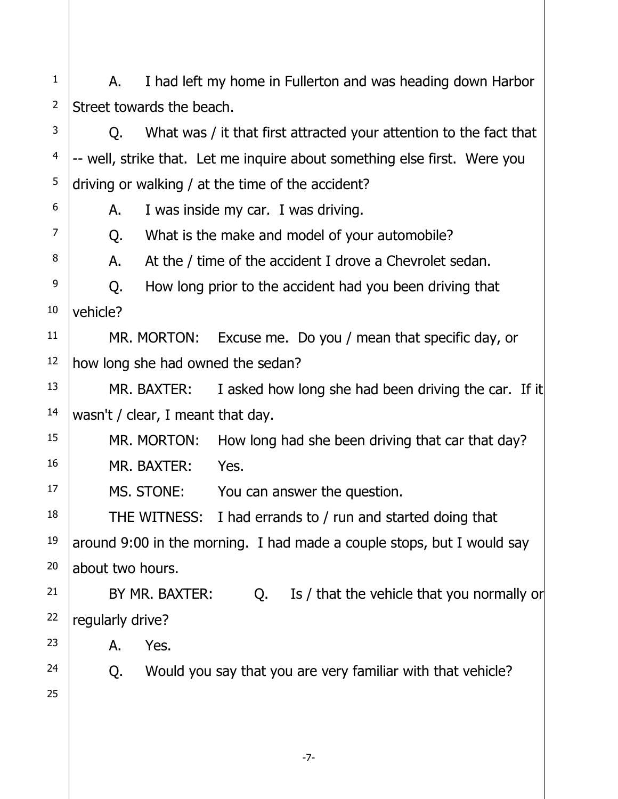1 2 A. I had left my home in Fullerton and was heading down Harbor Street towards the beach.

3 4 5 Q. What was / it that first attracted your attention to the fact that -- well, strike that. Let me inquire about something else first. Were you driving or walking / at the time of the accident?

A. I was inside my car. I was driving.

Q. What is the make and model of your automobile?

A. At the / time of the accident I drove a Chevrolet sedan.

9 10 Q. How long prior to the accident had you been driving that vehicle?

11 12 MR. MORTON: Excuse me. Do you / mean that specific day, or how long she had owned the sedan?

13 14 MR. BAXTER: I asked how long she had been driving the car. If it wasn't / clear, I meant that day.

15 16 MR. MORTON: How long had she been driving that car that day? MR. BAXTER: Yes.

MS. STONE: You can answer the question.

18 THE WITNESS: I had errands to / run and started doing that around 9:00 in the morning. I had made a couple stops, but I would say about two hours.

21 22 BY MR. BAXTER: Q. Is / that the vehicle that you normally or regularly drive?

A. Yes.

Q. Would you say that you are very familiar with that vehicle?

25

23

24

17

19

20

6

7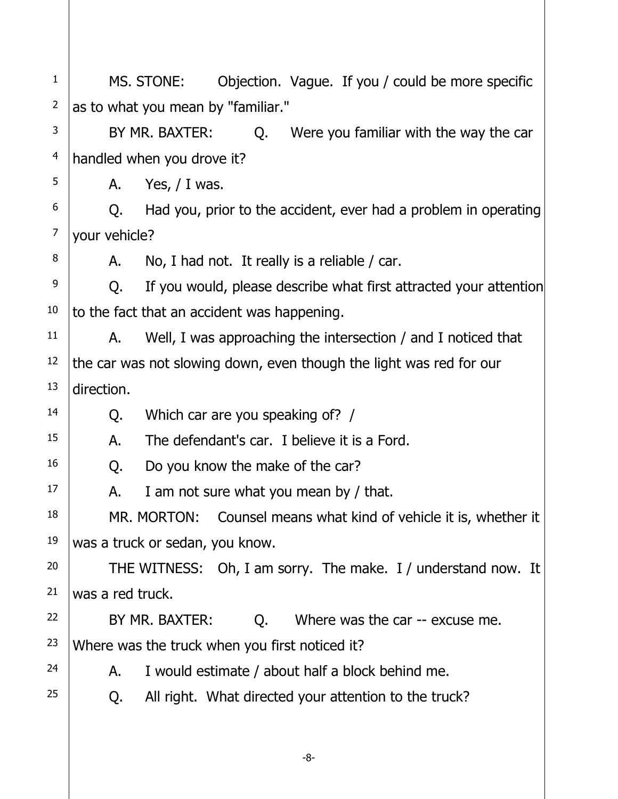1 2 3 4 5 6 7 8 9 10 11 12 13 14 15 16 17 18 19 20 21 22 23 24 25 MS. STONE: Objection. Vague. If you / could be more specific as to what you mean by "familiar." BY MR. BAXTER: C. Were you familiar with the way the car handled when you drove it? A. Yes, / I was. Q. Had you, prior to the accident, ever had a problem in operating your vehicle? A. No, I had not. It really is a reliable / car. Q. If you would, please describe what first attracted your attention to the fact that an accident was happening. A. Well, I was approaching the intersection / and I noticed that the car was not slowing down, even though the light was red for our direction. Q. Which car are you speaking of? / A. The defendant's car. I believe it is a Ford. Q. Do you know the make of the car? A. I am not sure what you mean by / that. MR. MORTON: Counsel means what kind of vehicle it is, whether it was a truck or sedan, you know. THE WITNESS: Oh, I am sorry. The make. I / understand now. It was a red truck. BY MR. BAXTER: Q. Where was the car -- excuse me. Where was the truck when you first noticed it? A. I would estimate / about half a block behind me. Q. All right. What directed your attention to the truck?

-8-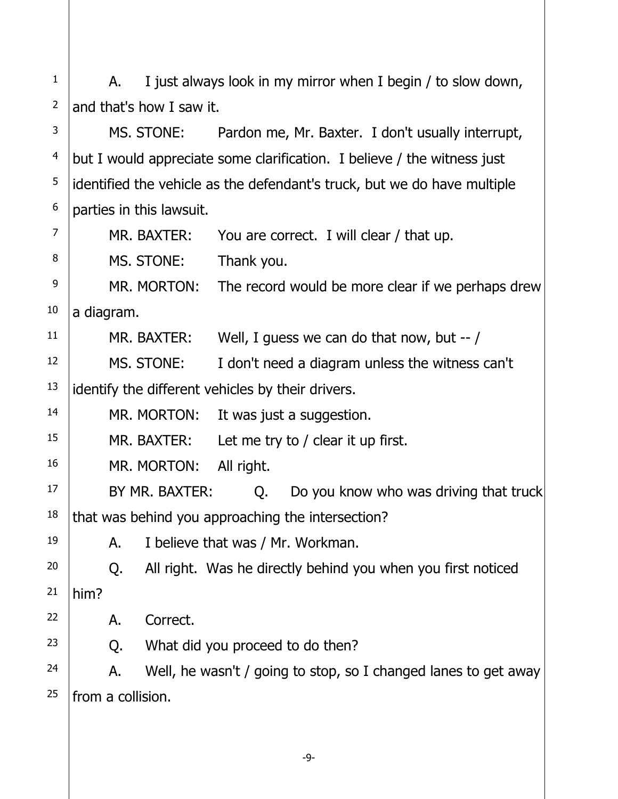1 2 A. I just always look in my mirror when I begin / to slow down, and that's how I saw it.

3 4 5 6 MS. STONE: Pardon me, Mr. Baxter. I don't usually interrupt, but I would appreciate some clarification. I believe / the witness just identified the vehicle as the defendant's truck, but we do have multiple parties in this lawsuit.

7 8 9 10 11 12 13 14 15 16 17 18 19 20 21 22 23 24 25 MR. BAXTER: You are correct. I will clear / that up. MS. STONE: Thank you. MR. MORTON: The record would be more clear if we perhaps drew a diagram. MR. BAXTER: Well, I guess we can do that now, but -- / MS. STONE: I don't need a diagram unless the witness can't identify the different vehicles by their drivers. MR. MORTON: It was just a suggestion. MR. BAXTER: Let me try to / clear it up first. MR. MORTON: All right. BY MR. BAXTER: Q. Do you know who was driving that truck that was behind you approaching the intersection? A. I believe that was / Mr. Workman. Q. All right. Was he directly behind you when you first noticed him? A. Correct. Q. What did you proceed to do then? A. Well, he wasn't / going to stop, so I changed lanes to get away from a collision.

-9-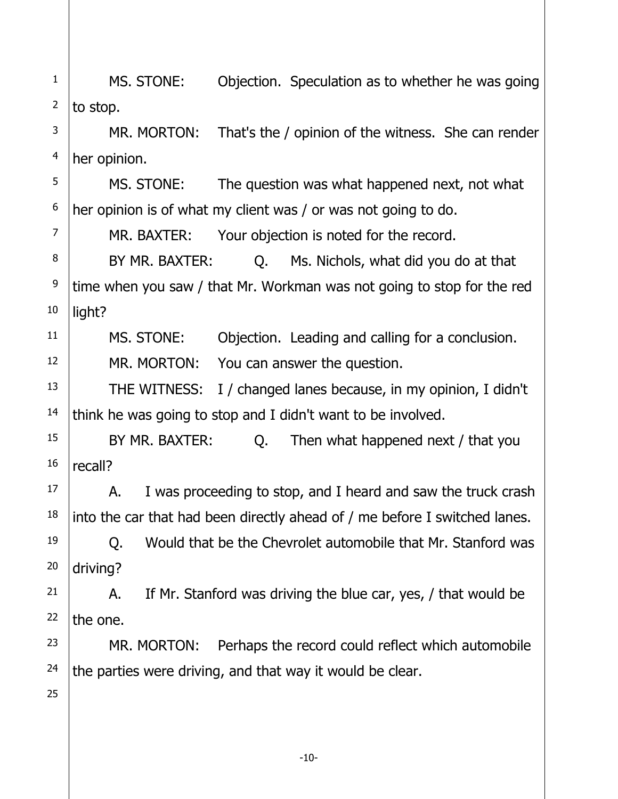1 2 MS. STONE: Objection. Speculation as to whether he was going to stop.

3 4 MR. MORTON: That's the / opinion of the witness. She can render her opinion.

5 6 MS. STONE: The question was what happened next, not what her opinion is of what my client was / or was not going to do.

MR. BAXTER: Your objection is noted for the record.

8 BY MR. BAXTER: Q. Ms. Nichols, what did you do at that time when you saw / that Mr. Workman was not going to stop for the red light?

11

12

13

14

17

18

7

9

10

MS. STONE: Objection. Leading and calling for a conclusion. MR. MORTON: You can answer the question.

THE WITNESS: I / changed lanes because, in my opinion, I didn't think he was going to stop and I didn't want to be involved.

15 16 BY MR. BAXTER: Q. Then what happened next / that you recall?

A. I was proceeding to stop, and I heard and saw the truck crash into the car that had been directly ahead of / me before I switched lanes.

19 20 Q. Would that be the Chevrolet automobile that Mr. Stanford was driving?

21 22 A. If Mr. Stanford was driving the blue car, yes, / that would be the one.

23 24 MR. MORTON: Perhaps the record could reflect which automobile the parties were driving, and that way it would be clear.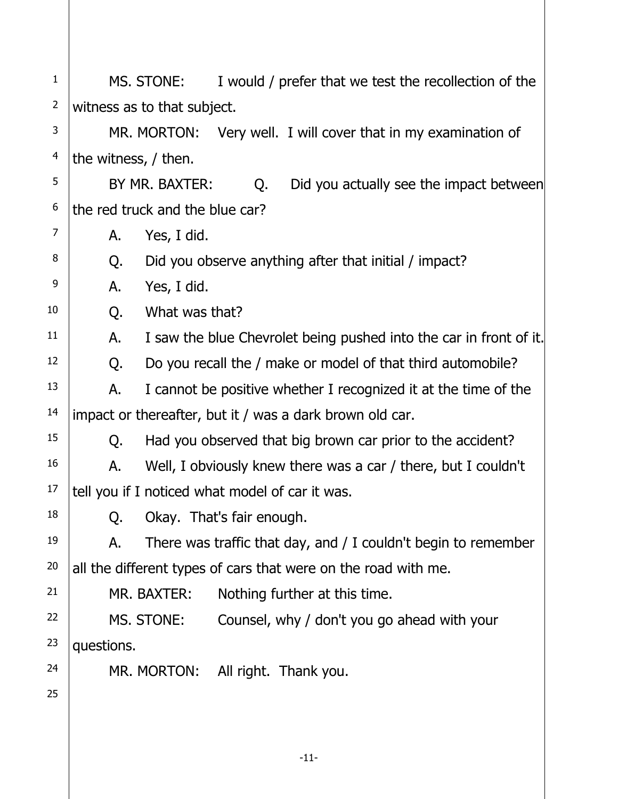| $\mathbf{1}$   |                                                          | MS. STONE:     |                                   | I would / prefer that we test the recollection of the              |
|----------------|----------------------------------------------------------|----------------|-----------------------------------|--------------------------------------------------------------------|
| $\overline{2}$ | witness as to that subject.                              |                |                                   |                                                                    |
| 3              |                                                          |                |                                   | MR. MORTON: Very well. I will cover that in my examination of      |
| 4              | the witness, / then.                                     |                |                                   |                                                                    |
| 5              |                                                          | BY MR. BAXTER: | Q.                                | Did you actually see the impact between                            |
| 6              | the red truck and the blue car?                          |                |                                   |                                                                    |
| $\overline{7}$ | Α.                                                       | Yes, I did.    |                                   |                                                                    |
| 8              | Q.                                                       |                |                                   | Did you observe anything after that initial / impact?              |
| 9              | А.                                                       | Yes, I did.    |                                   |                                                                    |
| 10             | Q.                                                       | What was that? |                                   |                                                                    |
| 11             | А.                                                       |                |                                   | I saw the blue Chevrolet being pushed into the car in front of it. |
| 12             | Q.                                                       |                |                                   | Do you recall the / make or model of that third automobile?        |
| 13             | Α.                                                       |                |                                   | I cannot be positive whether I recognized it at the time of the    |
| 14             | impact or thereafter, but it / was a dark brown old car. |                |                                   |                                                                    |
| 15             | Q.                                                       |                |                                   | Had you observed that big brown car prior to the accident?         |
| 16             | А.                                                       |                |                                   | Well, I obviously knew there was a car / there, but I couldn't     |
| 17             | tell you if I noticed what model of car it was.          |                |                                   |                                                                    |
| 18             |                                                          |                | Q. Okay. That's fair enough.      |                                                                    |
| 19             | А.                                                       |                |                                   | There was traffic that day, and / I couldn't begin to remember     |
| 20             |                                                          |                |                                   | all the different types of cars that were on the road with me.     |
| 21             |                                                          | MR. BAXTER:    |                                   | Nothing further at this time.                                      |
| 22             |                                                          | MS. STONE:     |                                   | Counsel, why / don't you go ahead with your                        |
| 23             | questions.                                               |                |                                   |                                                                    |
| 24             |                                                          |                | MR. MORTON: All right. Thank you. |                                                                    |
| 25             |                                                          |                |                                   |                                                                    |
|                |                                                          |                |                                   |                                                                    |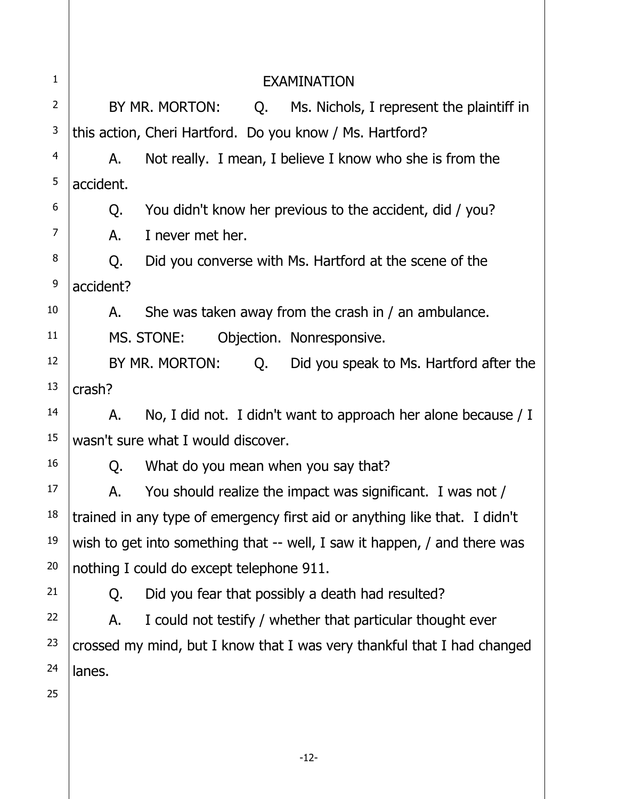| $\mathbf{1}$   | <b>EXAMINATION</b>                                                         |                                                                         |  |  |
|----------------|----------------------------------------------------------------------------|-------------------------------------------------------------------------|--|--|
| $\overline{2}$ |                                                                            | BY MR. MORTON:<br>Ms. Nichols, I represent the plaintiff in<br>Q.       |  |  |
| 3              |                                                                            | this action, Cheri Hartford. Do you know / Ms. Hartford?                |  |  |
| $\overline{4}$ | А.                                                                         | Not really. I mean, I believe I know who she is from the                |  |  |
| 5              | accident.                                                                  |                                                                         |  |  |
| 6              | Q.                                                                         | You didn't know her previous to the accident, did / you?                |  |  |
| $\overline{7}$ | А.                                                                         | I never met her.                                                        |  |  |
| 8              | Q.                                                                         | Did you converse with Ms. Hartford at the scene of the                  |  |  |
| 9              | accident?                                                                  |                                                                         |  |  |
| 10             | А.                                                                         | She was taken away from the crash in / an ambulance.                    |  |  |
| 11             | MS. STONE:<br>Objection. Nonresponsive.                                    |                                                                         |  |  |
| 12             | BY MR. MORTON:<br>Q.<br>Did you speak to Ms. Hartford after the            |                                                                         |  |  |
| 13             | crash?                                                                     |                                                                         |  |  |
| 14             | А.                                                                         | No, I did not. I didn't want to approach her alone because / I          |  |  |
| 15             | wasn't sure what I would discover.                                         |                                                                         |  |  |
| 16             | Q.                                                                         | What do you mean when you say that?                                     |  |  |
| 17             | Α.                                                                         | You should realize the impact was significant. I was not /              |  |  |
| 18             | trained in any type of emergency first aid or anything like that. I didn't |                                                                         |  |  |
| 19             | wish to get into something that -- well, I saw it happen, / and there was  |                                                                         |  |  |
| 20             | nothing I could do except telephone 911.                                   |                                                                         |  |  |
| 21             | Q.                                                                         | Did you fear that possibly a death had resulted?                        |  |  |
| 22             | Α.                                                                         | I could not testify / whether that particular thought ever              |  |  |
| 23             |                                                                            | crossed my mind, but I know that I was very thankful that I had changed |  |  |
| 24             | lanes.                                                                     |                                                                         |  |  |
| 25             |                                                                            |                                                                         |  |  |
|                |                                                                            |                                                                         |  |  |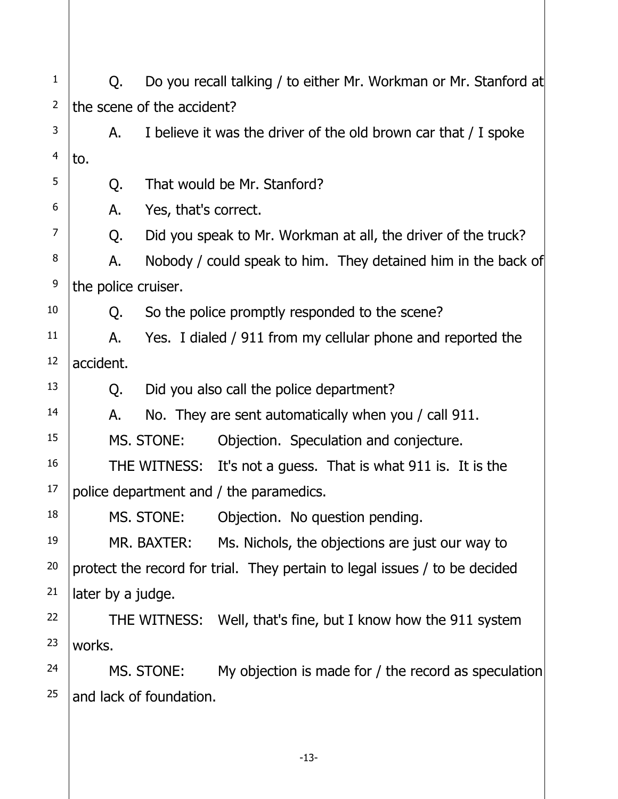| $\mathbf{1}$   | Q.                                                                         | Do you recall talking / to either Mr. Workman or Mr. Stanford at |                                                                 |  |  |
|----------------|----------------------------------------------------------------------------|------------------------------------------------------------------|-----------------------------------------------------------------|--|--|
| $\overline{2}$ | the scene of the accident?                                                 |                                                                  |                                                                 |  |  |
| 3              | А.                                                                         |                                                                  | I believe it was the driver of the old brown car that / I spoke |  |  |
| 4              | to.                                                                        |                                                                  |                                                                 |  |  |
| 5              | Q.                                                                         |                                                                  | That would be Mr. Stanford?                                     |  |  |
| 6              | Α.                                                                         | Yes, that's correct.                                             |                                                                 |  |  |
| 7              | Q.                                                                         |                                                                  | Did you speak to Mr. Workman at all, the driver of the truck?   |  |  |
| 8              | А.                                                                         |                                                                  | Nobody / could speak to him. They detained him in the back of   |  |  |
| 9              | the police cruiser.                                                        |                                                                  |                                                                 |  |  |
| 10             | Q.                                                                         |                                                                  | So the police promptly responded to the scene?                  |  |  |
| 11             | А.                                                                         |                                                                  | Yes. I dialed / 911 from my cellular phone and reported the     |  |  |
| 12             | accident.                                                                  |                                                                  |                                                                 |  |  |
| 13             | Q.                                                                         |                                                                  | Did you also call the police department?                        |  |  |
| 14             | А.                                                                         |                                                                  | No. They are sent automatically when you / call 911.            |  |  |
| 15             |                                                                            | MS. STONE:                                                       | Objection. Speculation and conjecture.                          |  |  |
| 16             |                                                                            |                                                                  | THE WITNESS: It's not a guess. That is what 911 is. It is the   |  |  |
| 17             | police department and / the paramedics.                                    |                                                                  |                                                                 |  |  |
| 18             |                                                                            | MS. STONE:                                                       | Objection. No question pending.                                 |  |  |
| 19             |                                                                            | MR. BAXTER:                                                      | Ms. Nichols, the objections are just our way to                 |  |  |
| 20             | protect the record for trial. They pertain to legal issues / to be decided |                                                                  |                                                                 |  |  |
| 21             | later by a judge.                                                          |                                                                  |                                                                 |  |  |
| 22             |                                                                            |                                                                  | THE WITNESS: Well, that's fine, but I know how the 911 system   |  |  |
| 23             | works.                                                                     |                                                                  |                                                                 |  |  |
| 24             |                                                                            | MS. STONE:                                                       | My objection is made for / the record as speculation            |  |  |
| 25             |                                                                            | and lack of foundation.                                          |                                                                 |  |  |
|                |                                                                            |                                                                  |                                                                 |  |  |
|                |                                                                            |                                                                  |                                                                 |  |  |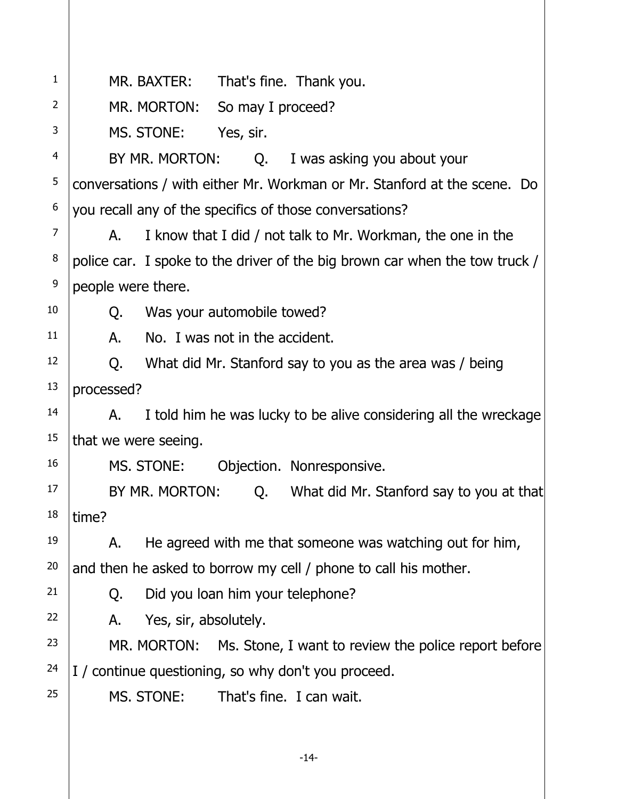| $\mathbf{1}$   | MR. BAXTER:<br>That's fine. Thank you.                                      |  |  |
|----------------|-----------------------------------------------------------------------------|--|--|
| 2              | MR. MORTON:<br>So may I proceed?                                            |  |  |
| 3              | MS. STONE:<br>Yes, sir.                                                     |  |  |
| 4              | BY MR. MORTON:<br>Q. I was asking you about your                            |  |  |
| 5              | conversations / with either Mr. Workman or Mr. Stanford at the scene. Do    |  |  |
| 6              | you recall any of the specifics of those conversations?                     |  |  |
| $\overline{7}$ | I know that I did / not talk to Mr. Workman, the one in the<br>А.           |  |  |
| 8              | police car. I spoke to the driver of the big brown car when the tow truck / |  |  |
| 9              | people were there.                                                          |  |  |
| 10             | Was your automobile towed?<br>Q.                                            |  |  |
| 11             | No. I was not in the accident.<br>А.                                        |  |  |
| 12             | What did Mr. Stanford say to you as the area was / being<br>Q.              |  |  |
| 13             | processed?                                                                  |  |  |
| 14             | I told him he was lucky to be alive considering all the wreckage<br>А.      |  |  |
| 15             | that we were seeing.                                                        |  |  |
| 16             | MS. STONE:<br>Objection. Nonresponsive.                                     |  |  |
| 17             | BY MR. MORTON:<br>Q. What did Mr. Stanford say to you at that               |  |  |
| 18             | time?                                                                       |  |  |
| 19             | He agreed with me that someone was watching out for him,<br>А.              |  |  |
| 20             | and then he asked to borrow my cell / phone to call his mother.             |  |  |
| 21             | Did you loan him your telephone?<br>Q.                                      |  |  |
| 22             | Yes, sir, absolutely.<br>А.                                                 |  |  |
| 23             | MR. MORTON:<br>Ms. Stone, I want to review the police report before         |  |  |
| 24             | I / continue questioning, so why don't you proceed.                         |  |  |
| 25             | MS. STONE:<br>That's fine. I can wait.                                      |  |  |
|                |                                                                             |  |  |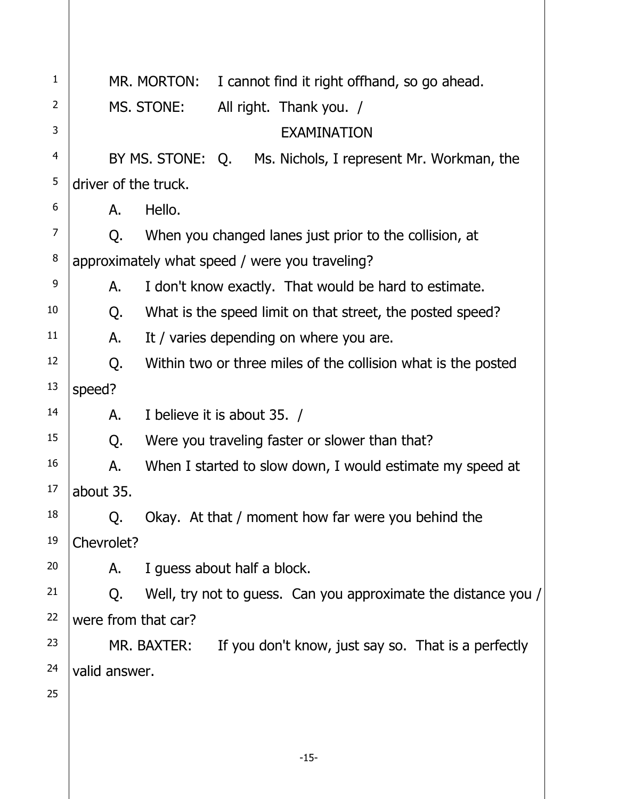| 1              |                      | MR. MORTON:                                                   | I cannot find it right offhand, so go ahead.                   |
|----------------|----------------------|---------------------------------------------------------------|----------------------------------------------------------------|
| 2              |                      | MS. STONE:<br>All right. Thank you. /                         |                                                                |
| 3              |                      | <b>EXAMINATION</b>                                            |                                                                |
| $\overline{4}$ |                      | BY MS. STONE: Q. Ms. Nichols, I represent Mr. Workman, the    |                                                                |
| 5              | driver of the truck. |                                                               |                                                                |
| 6              | А.                   | Hello.                                                        |                                                                |
| $\overline{7}$ | Q.                   | When you changed lanes just prior to the collision, at        |                                                                |
| 8              |                      | approximately what speed / were you traveling?                |                                                                |
| 9              | А.                   | I don't know exactly. That would be hard to estimate.         |                                                                |
| 10             | Q.                   | What is the speed limit on that street, the posted speed?     |                                                                |
| 11             | А.                   | It / varies depending on where you are.                       |                                                                |
| 12             | Q.                   | Within two or three miles of the collision what is the posted |                                                                |
| 13             | speed?               |                                                               |                                                                |
| 14             | Α.                   | I believe it is about 35. /                                   |                                                                |
| 15             | Q.                   | Were you traveling faster or slower than that?                |                                                                |
| 16             | Α.                   | When I started to slow down, I would estimate my speed at     |                                                                |
| 17             | about 35.            |                                                               |                                                                |
| 18             | Q.                   | Okay. At that / moment how far were you behind the            |                                                                |
| 19             | Chevrolet?           |                                                               |                                                                |
| 20             | Α.                   | I guess about half a block.                                   |                                                                |
| 21             | Q.                   |                                                               | Well, try not to guess. Can you approximate the distance you / |
| 22             | were from that car?  |                                                               |                                                                |
| 23             |                      | MR. BAXTER:                                                   | If you don't know, just say so. That is a perfectly            |
| 24             | valid answer.        |                                                               |                                                                |
| 25             |                      |                                                               |                                                                |
|                |                      |                                                               |                                                                |
|                |                      |                                                               |                                                                |